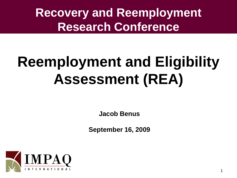**Recovery and Reemployment Research Conference** 

## **Reemployment and Eligibility Assessment (REA)**

**Jacob Benus**

**September 16, 2009**

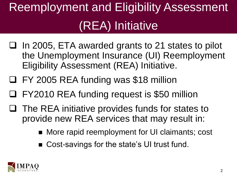## Reemployment and Eligibility Assessment (REA) Initiative

- $\Box$  In 2005, ETA awarded grants to 21 states to pilot the Unemployment Insurance (UI) Reemployment Eligibility Assessment (REA) Initiative.
- FY 2005 REA funding was \$18 million
- FY2010 REA funding request is \$50 million
- provide new REA services that may result in:  $\Box$  The REA initiative provides funds for states to
	- More rapid reemployment for UI claimants; cost
	- Cost-savings for the state's UI trust fund.

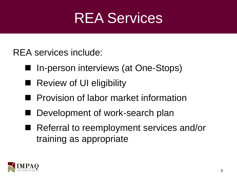## REA Services

REA services include:

- In-person interviews (at One-Stops)
- Review of UI eligibility
- **Provision of labor market information**
- Development of work-search plan
- Referral to reemployment services and/or training as appropriate

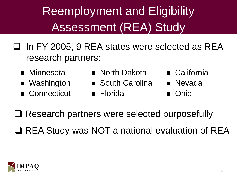### Reemployment and Eligibility Assessment (REA) Study

- □ In FY 2005, 9 REA states were selected as REA research partners:
	- Minnesota
	- Washington
	- Connecticut
- North Dakota California
- **South Carolina**
- Florida
- 
- **Nevada**
- Ohio
- □ Research partners were selected purposefully
- □ REA Study was NOT a national evaluation of REA

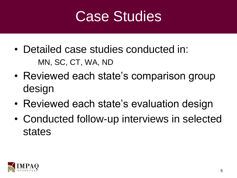## Case Studies

- Detailed case studies conducted in: MN, SC, CT, WA, ND
- • Reviewed each state's comparison group design
- Reviewed each state's evaluation design
- Conducted follow-up interviews in selected states

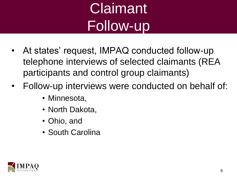## Claimant Follow-up

- participants and control group claimants) At states' request, IMPAQ conducted follow-up telephone interviews of selected claimants (REA
- Follow-up interviews were conducted on behalf of:
	- Minnesota,
	- North Dakota,
	- Ohio, and
	- South Carolina

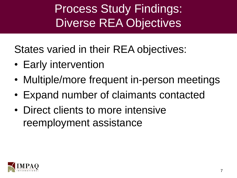#### Process Study Findings: Diverse REA Objectives

States varied in their REA objectives:

- Early intervention
- Multiple/more frequent in-person meetings
- Expand number of claimants contacted
- Direct clients to more intensive reemployment assistance

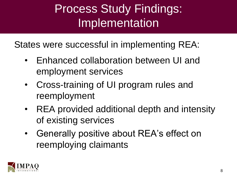#### Process Study Findings: Implementation

States were successful in implementing REA:

- Enhanced collaboration between UI and employment services
- • Cross-training of UI program rules and reemployment
- REA provided additional depth and intensity of existing services
- reemploying claimants • Generally positive about REA's effect on

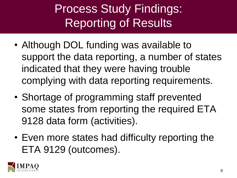### Process Study Findings: Reporting of Results

- Although DOL funding was available to support the data reporting, a number of states indicated that they were having trouble complying with data reporting requirements.
- Shortage of programming staff prevented some states from reporting the required ETA 9128 data form (activities).
- Even more states had difficulty reporting the ETA 9129 (outcomes).

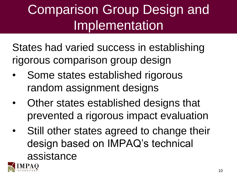## Comparison Group Design and **Implementation**

States had varied success in establishing rigorous comparison group design

- Some states established rigorous random assignment designs
- Other states established designs that prevented a rigorous impact evaluation
- • Still other states agreed to change their design based on IMPAQ's technical assistance

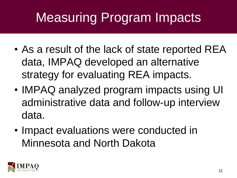## Measuring Program Impacts

- • As a result of the lack of state reported REA data, IMPAQ developed an alternative strategy for evaluating REA impacts.
- IMPAQ analyzed program impacts using UI administrative data and follow-up interview data.
- Minnesota and North Dakota • Impact evaluations were conducted in

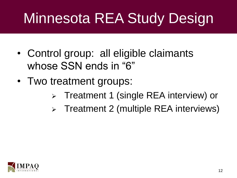# Minnesota REA Study Design

- Control group: all eligible claimants whose SSN ends in "6"
- Two treatment groups:
	- Treatment 1 (single REA interview) or
	- > Treatment 2 (multiple REA interviews)

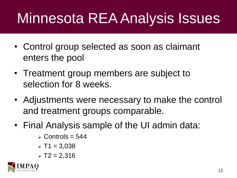## Minnesota REA Analysis Issues

- enters the pool • Control group selected as soon as claimant
- Treatment group members are subject to selection for 8 weeks.
- Adjustments were necessary to make the control and treatment groups comparable.
- Final Analysis sample of the UI admin data:
	- $\geq$  Controls = 544
	- $\triangleright$  T1 = 3,038
	- $\triangleright$  T2 = 2,316

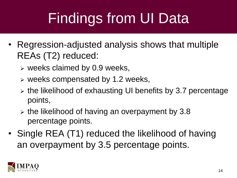# Findings from UI Data

- REAs (T2) reduced: • Regression-adjusted analysis shows that multiple
	- $\triangleright$  weeks claimed by 0.9 weeks,
	- $\triangleright$  weeks compensated by 1.2 weeks,
	- $\triangleright$  the likelihood of exhausting UI benefits by 3.7 percentage points,
	- percentage points.  $\triangleright$  the likelihood of having an overpayment by 3.8
- Single REA (T1) reduced the likelihood of having an overpayment by 3.5 percentage points.

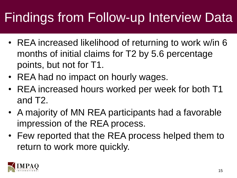## Findings from Follow-up Interview Data

- months of initial claims for T2 by 5.6 percentage • REA increased likelihood of returning to work w/in 6 points, but not for T1.
- REA had no impact on hourly wages.
- REA increased hours worked per week for both T1 and T2.
- impression of the REA process. • A majority of MN REA participants had a favorable
- return to work more quickly. • Few reported that the REA process helped them to